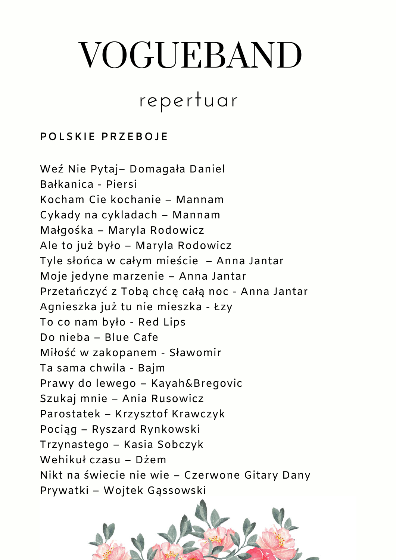# VOGUEBAND

## repertuar

#### **POLSKIE PRZEBOJE**

Weź Nie Pytaj– Domagała Daniel Bałkanica - Piersi Kocham Cie kochanie – Mannam Cykady na cykladach – Mannam Małgośka – Maryla Rodowicz Ale to już było – Maryla Rodowicz Tyle słońca w całym mieście – Anna Jantar Moje jedyne marzenie – Anna Jantar Przetańczyć z Tobą chcę całą noc - Anna Jantar Agnieszka już tu nie mieszka - Łzy To co nam było - Red Lips Do nieba – Blue Cafe Miłość w zakopanem - Sławomir Ta sama chwila - Bajm Prawy do lewego – Kayah&Bregovic Szukaj mnie – Ania Rusowicz Parostatek – Krzysztof Krawczyk Pociąg – Ryszard Rynkowski Trzynastego – Kasia Sobczyk Wehikuł czasu – Dżem Nikt na świecie nie wie – Czerwone Gitary Dany Prywatki – Wojtek Gąssowski

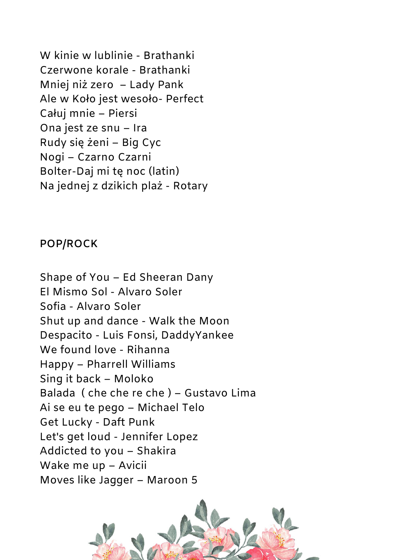W kinie w lublinie - Brathanki Czerwone korale - Brathanki Mniej niż zero – Lady Pank Ale w Koło jest wesoło- Perfect Całuj mnie – Piersi Ona jest ze snu – Ira Rudy się żeni – Big Cyc Nogi – Czarno Czarni Bolter-Daj mi tę noc (latin) Na jednej z dzikich plaż - Rotary

#### **POP/ROCK**

Shape of You – Ed Sheeran Dany El Mismo Sol - Alvaro Soler Sofia - Alvaro Soler Shut up and dance - Walk the Moon Despacito - Luis Fonsi, DaddyYankee We found love - Rihanna Happy – Pharrell Williams Sing it back – Moloko Balada ( che che re che ) – Gustavo Lima Ai se eu te pego – Michael Telo Get Lucky - Daft Punk Let's get loud - Jennifer Lopez Addicted to you – Shakira Wake me up – Avicii Moves like Jagger – Maroon 5

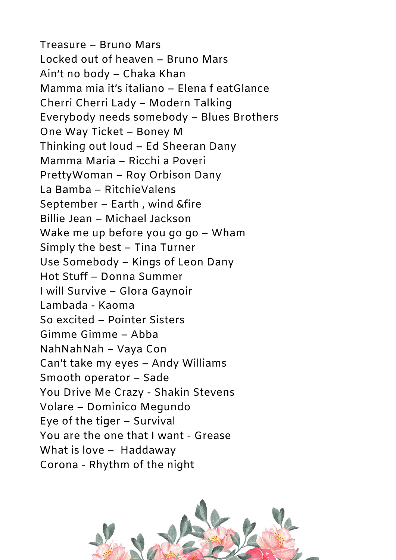Treasure – Bruno Mars Locked out of heaven – Bruno Mars Ain't no body – Chaka Khan Mamma mia it's italiano – Elena f eatGlance Cherri Cherri Lady – Modern Talking Everybody needs somebody – Blues Brothers One Way Ticket – Boney M Thinking out loud – Ed Sheeran Dany Mamma Maria – Ricchi a Poveri PrettyWoman – Roy Orbison Dany La Bamba – RitchieValens September – Earth , wind &fire Billie Jean – Michael Jackson Wake me up before you go go – Wham Simply the best – Tina Turner Use Somebody – Kings of Leon Dany Hot Stuff – Donna Summer I will Survive – Glora Gaynoir Lambada - Kaoma So excited – Pointer Sisters Gimme Gimme – Abba NahNah – Vaya Con Can't take my eyes – Andy Williams Smooth operator – Sade You Drive Me Crazy - Shakin Stevens Volare – Dominico Megundo Eye of the tiger – Survival You are the one that I want - Grease What is love – Haddaway Corona - Rhythm of the night